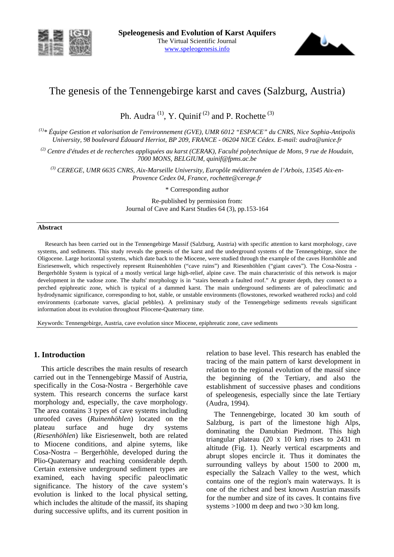



# The genesis of the Tennengebirge karst and caves (Salzburg, Austria)

Ph. Audra  $(1)$ , Y. Quinif  $(2)$  and P. Rochette  $(3)$ 

*(1)\* Équipe Gestion et valorisation de l'environnement (GVE), UMR 6012 "ESPACE" du CNRS, Nice Sophia-Antipolis University, 98 boulevard Édouard Herriot, BP 209, FRANCE - 06204 NICE Cédex. E-mail: audra@unice.fr* 

*(2) Centre d'études et de recherches appliquées au karst (CERAK), Faculté polytechnique de Mons, 9 rue de Houdain, 7000 MONS, BELGIUM, quinif@fpms.ac.be* 

*(3) CEREGE, UMR 6635 CNRS, Aix-Marseille University, Europôle méditerranéen de l'Arbois, 13545 Aix-en-Provence Cedex 04, France, rochette@cerege.fr*

\* Corresponding author

Re-published by permission from: Journal of Cave and Karst Studies 64 (3), pp.153-164

#### **Abstract**

Research has been carried out in the Tennengebirge Massif (Salzburg, Austria) with specific attention to karst morphology, cave systems, and sediments. This study reveals the genesis of the karst and the underground systems of the Tennengebirge, since the Oligocene. Large horizontal systems, which date back to the Miocene, were studied through the example of the caves Hornhöhle and Eisriesenwelt, which respectively represent Ruinenhöhlen ("cave ruins") and Riesenhöhlen ("giant caves"). The Cosa-Nostra - Bergerhöhle System is typical of a mostly vertical large high-relief, alpine cave. The main characteristic of this network is major development in the vadose zone. The shafts' morphology is in "stairs beneath a faulted roof." At greater depth, they connect to a perched epiphreatic zone, which is typical of a dammed karst. The main underground sediments are of paleoclimatic and hydrodynamic significance, corresponding to hot, stable, or unstable environments (flowstones, reworked weathered rocks) and cold environments (carbonate varves, glacial pebbles). A preliminary study of the Tennengebirge sediments reveals significant information about its evolution throughout Pliocene-Quaternary time.

Keywords: Tennengebirge, Austria, cave evolution since Miocene, epiphreatic zone, cave sediments

### **1. Introduction**

This article describes the main results of research carried out in the Tennengebirge Massif of Austria, specifically in the Cosa-Nostra - Bergerhöhle cave system. This research concerns the surface karst morphology and, especially, the cave morphology. The area contains 3 types of cave systems including unroofed caves (*Ruinenhöhlen*) located on the plateau surface and huge dry systems (*Riesenhöhlen*) like Eisriesenwelt, both are related to Miocene conditions, and alpine sytems, like Cosa-Nostra – Bergerhöhle, developed during the Plio-Quaternary and reaching considerable depth. Certain extensive underground sediment types are examined, each having specific paleoclimatic significance. The history of the cave system's evolution is linked to the local physical setting, which includes the altitude of the massif, its shaping during successive uplifts, and its current position in relation to base level. This research has enabled the tracing of the main pattern of karst development in relation to the regional evolution of the massif since the beginning of the Tertiary, and also the establishment of successive phases and conditions of speleogenesis, especially since the late Tertiary (Audra, 1994).

The Tennengebirge, located 30 km south of Salzburg, is part of the limestone high Alps, dominating the Danubian Piedmont. This high triangular plateau (20 x 10 km) rises to 2431 m altitude (Fig. 1). Nearly vertical escarpments and abrupt slopes encircle it. Thus it dominates the surrounding valleys by about 1500 to 2000 m, especially the Salzach Valley to the west, which contains one of the region's main waterways. It is one of the richest and best known Austrian massifs for the number and size of its caves. It contains five systems >1000 m deep and two >30 km long.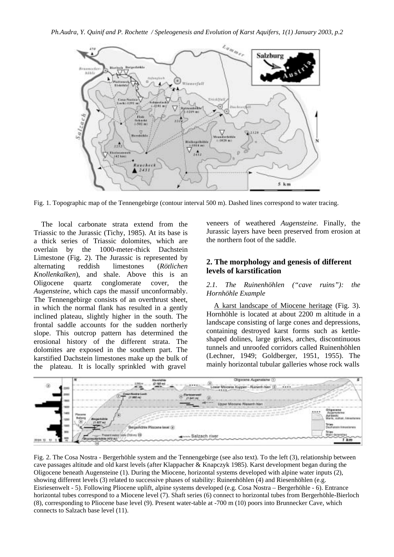

Fig. 1. Topographic map of the Tennengebirge (contour interval 500 m). Dashed lines correspond to water tracing.

The local carbonate strata extend from the Triassic to the Jurassic (Tichy, 1985). At its base is a thick series of Triassic dolomites, which are overlain by the 1000-meter-thick Dachstein Limestone (Fig. 2). The Jurassic is represented by alternating reddish limestones (*Rötlichen Knollenkalken*), and shale. Above this is an Oligocene quartz conglomerate cover, the *Augensteine*, which caps the massif unconformably. The Tennengebirge consists of an overthrust sheet, in which the normal flank has resulted in a gently inclined plateau, slightly higher in the south. The frontal saddle accounts for the sudden northerly slope. This outcrop pattern has determined the erosional history of the different strata. The dolomites are exposed in the southern part. The karstified Dachstein limestones make up the bulk of the plateau. It is locally sprinkled with gravel

veneers of weathered *Augensteine*. Finally, the Jurassic layers have been preserved from erosion at the northern foot of the saddle.

# **2. The morphology and genesis of different levels of karstification**

### *2.1. The Ruinenhöhlen ("cave ruins"): the Hornhöhle Example*

A karst landscape of Miocene heritage (Fig. 3). Hornhöhle is located at about 2200 m altitude in a landscape consisting of large cones and depressions, containing destroyed karst forms such as kettleshaped dolines, large grikes, arches, discontinuous tunnels and unroofed corridors called Ruinenhöhlen (Lechner, 1949; Goldberger, 1951, 1955). The mainly horizontal tubular galleries whose rock walls



Fig. 2. The Cosa Nostra - Bergerhöhle system and the Tennengebirge (see also text). To the left (3), relationship between cave passages altitude and old karst levels (after Klappacher & Knapczyk 1985). Karst development began during the Oligocene beneath Augensteine (1). During the Miocene, horizontal systems developed with alpine water inputs (2), showing different levels (3) related to successive phases of stability: Ruinenhöhlen (4) and Riesenhöhlen (e.g. Eisriesenwelt - 5). Following Pliocene uplift, alpine systems developed (e.g. Cosa Nostra – Bergerhöhle - 6). Entrance horizontal tubes correspond to a Miocene level (7). Shaft series (6) connect to horizontal tubes from Bergerhöhle-Bierloch (8), corresponding to Pliocene base level (9). Present water-table at -700 m (10) poors into Brunnecker Cave, which connects to Salzach base level (11).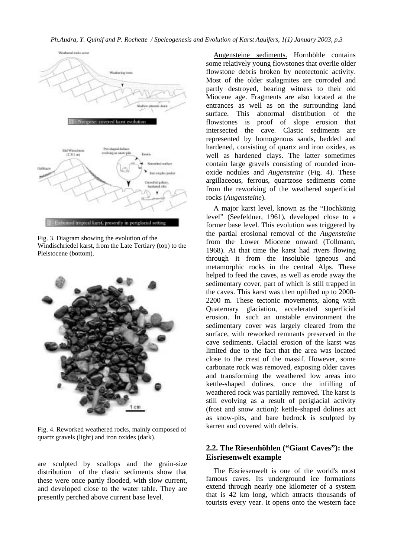#### *Ph.Audra, Y. Quinif and P. Rochette / Speleogenesis and Evolution of Karst Aquifers, 1(1) January 2003, p.3*



Fig. 3. Diagram showing the evolution of the Windischriedel karst, from the Late Tertiary (top) to the Pleistocene (bottom).



Fig. 4. Reworked weathered rocks, mainly composed of quartz gravels (light) and iron oxides (dark).

are sculpted by scallops and the grain-size distribution of the clastic sediments show that these were once partly flooded, with slow current, and developed close to the water table. They are presently perched above current base level.

Augensteine sediments. Hornhöhle contains some relatively young flowstones that overlie older flowstone debris broken by neotectonic activity. Most of the older stalagmites are corroded and partly destroyed, bearing witness to their old Miocene age. Fragments are also located at the entrances as well as on the surrounding land surface. This abnormal distribution of the flowstones is proof of slope erosion that intersected the cave. Clastic sediments are represented by homogenous sands, bedded and hardened, consisting of quartz and iron oxides, as well as hardened clays. The latter sometimes contain large gravels consisting of rounded ironoxide nodules and *Augensteine* (Fig. 4). These argillaceous, ferrous, quartzose sediments come from the reworking of the weathered superficial rocks (*Augensteine*).

A major karst level, known as the "Hochkönig level" (Seefeldner, 1961), developed close to a former base level. This evolution was triggered by the partial erosional removal of the *Augensteine* from the Lower Miocene onward (Tollmann, 1968). At that time the karst had rivers flowing through it from the insoluble igneous and metamorphic rocks in the central Alps. These helped to feed the caves, as well as erode away the sedimentary cover, part of which is still trapped in the caves. This karst was then uplifted up to 2000- 2200 m. These tectonic movements, along with Quaternary glaciation, accelerated superficial erosion. In such an unstable environment the sedimentary cover was largely cleared from the surface, with reworked remnants preserved in the cave sediments. Glacial erosion of the karst was limited due to the fact that the area was located close to the crest of the massif. However, some carbonate rock was removed, exposing older caves and transforming the weathered low areas into kettle-shaped dolines, once the infilling of weathered rock was partially removed. The karst is still evolving as a result of periglacial activity (frost and snow action): kettle-shaped dolines act as snow-pits, and bare bedrock is sculpted by karren and covered with debris.

## **2.2. The Riesenhöhlen ("Giant Caves"): the Eisriesenwelt example**

The Eisriesenwelt is one of the world's most famous caves. Its underground ice formations extend through nearly one kilometer of a system that is 42 km long, which attracts thousands of tourists every year. It opens onto the western face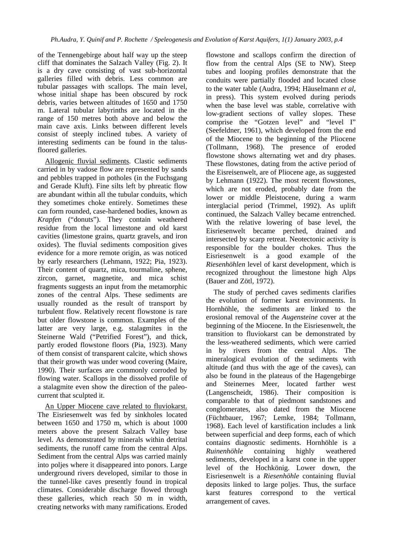of the Tennengebirge about half way up the steep cliff that dominates the Salzach Valley (Fig. 2). It is a dry cave consisting of vast sub-horizontal galleries filled with debris. Less common are tubular passages with scallops. The main level, whose initial shape has been obscured by rock debris, varies between altitudes of 1650 and 1750 m. Lateral tubular labyrinths are located in the range of 150 metres both above and below the main cave axis. Links between different levels consist of steeply inclined tubes. A variety of interesting sediments can be found in the talusfloored galleries.

Allogenic fluvial sediments. Clastic sediments carried in by vadose flow are represented by sands and pebbles trapped in potholes (in the Fuchsgang and Gerade Kluft). Fine silts left by phreatic flow are abundant within all the tubular conduits, which they sometimes choke entirely. Sometimes these can form rounded, case-hardened bodies, known as *Krapfen* ("donuts"). They contain weathered residue from the local limestone and old karst cavities (limestone grains, quartz gravels, and iron oxides). The fluvial sediments composition gives evidence for a more remote origin, as was noticed by early researchers (Lehmann, 1922; Pia, 1923). Their content of quartz, mica, tourmaline, sphene, zircon, garnet, magnetite, and mica schist fragments suggests an input from the metamorphic zones of the central Alps. These sediments are usually rounded as the result of transport by turbulent flow. Relatively recent flowstone is rare but older flowstone is common. Examples of the latter are very large, e.g. stalagmites in the Steinerne Wald ("Petrified Forest"), and thick, partly eroded flowstone floors (Pia, 1923). Many of them consist of transparent calcite, which shows that their growth was under wood covering (Maire, 1990). Their surfaces are commonly corroded by flowing water. Scallops in the dissolved profile of a stalagmite even show the direction of the paleocurrent that sculpted it.

An Upper Miocene cave related to fluviokarst. The Eisriesenwelt was fed by sinkholes located between 1650 and 1750 m, which is about 1000 meters above the present Salzach Valley base level. As demonstrated by minerals within detrital sediments, the runoff came from the central Alps. Sediment from the central Alps was carried mainly into poljes where it disappeared into ponors. Large underground rivers developed, similar to those in the tunnel-like caves presently found in tropical climates. Considerable discharge flowed through these galleries, which reach 50 m in width, creating networks with many ramifications. Eroded flowstone and scallops confirm the direction of flow from the central Alps (SE to NW). Steep tubes and looping profiles demonstrate that the conduits were partially flooded and located close to the water table (Audra, 1994; Häuselmann *et al*, in press). This system evolved during periods when the base level was stable, correlative with low-gradient sections of valley slopes. These comprise the "Gotzen level" and "level I" (Seefeldner, 1961), which developed from the end of the Miocene to the beginning of the Pliocene (Tollmann, 1968). The presence of eroded flowstone shows alternating wet and dry phases. These flowstones, dating from the active period of the Eisreisenwelt, are of Pliocene age, as suggested by Lehmann (1922). The most recent flowstones, which are not eroded, probably date from the lower or middle Pleistocene, during a warm interglacial period (Trimmel, 1992). As uplift continued, the Salzach Valley became entrenched. With the relative lowering of base level, the Eisriesenwelt became perched, drained and intersected by scarp retreat. Neotectonic activity is responsible for the boulder chokes. Thus the Eisriesenwelt is a good example of the *Riesenhöhlen* level of karst development, which is recognized throughout the limestone high Alps (Bauer and Zötl, 1972).

The study of perched caves sediments clarifies the evolution of former karst environments. In Hornhöhle, the sediments are linked to the erosional removal of the *Augensteine* cover at the beginning of the Miocene. In the Eisriesenwelt, the transition to fluviokarst can be demonstrated by the less-weathered sediments, which were carried in by rivers from the central Alps. The mineralogical evolution of the sediments with altitude (and thus with the age of the caves), can also be found in the plateaus of the Hagengebirge and Steinernes Meer, located farther west (Langenscheidt, 1986). Their composition is comparable to that of piedmont sandstones and conglomerates, also dated from the Miocene (Füchtbauer, 1967; Lemke, 1984; Tollmann, 1968). Each level of karstification includes a link between superficial and deep forms, each of which contains diagnostic sediments. Hornhöhle is a *Ruinenhöhle* containing highly weathered sediments, developed in a karst cone in the upper level of the Hochkönig. Lower down, the Eisriesenwelt is a *Riesenhöhle* containing fluvial deposits linked to large poljes. Thus, the surface karst features correspond to the vertical arrangement of caves.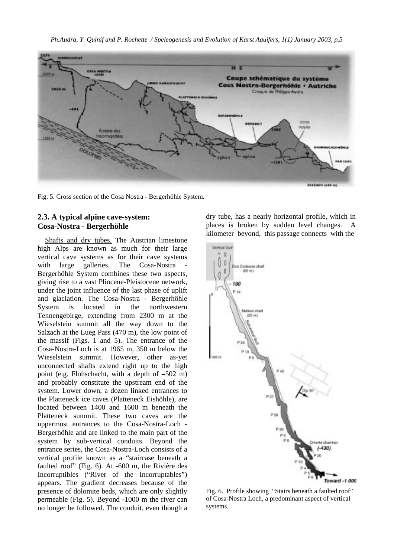

Fig. 5. Cross section of the Cosa Nostra - Bergerhöhle System.

### **2.3. A typical alpine cave-system: Cosa-Nostra - Bergerhöhle**

Shafts and dry tubes. The Austrian limestone high Alps are known as much for their large vertical cave systems as for their cave systems with large galleries. The Cosa-Nostra Bergerhöhle System combines these two aspects, giving rise to a vast Pliocene-Pleistocene network, under the joint influence of the last phase of uplift and glaciation. The Cosa-Nostra - Bergerhöhle System is located in the northwestern Tennengebirge, extending from 2300 m at the Wieselstein summit all the way down to the Salzach at the Lueg Pass (470 m), the low point of the massif (Figs. 1 and 5). The entrance of the Cosa-Nostra-Loch is at 1965 m, 350 m below the Wieselstein summit. However, other as-yet unconnected shafts extend right up to the high point (e.g. Flohschacht, with a depth of –502 m) and probably constitute the upstream end of the system. Lower down, a dozen linked entrances to the Platteneck ice caves (Platteneck Eishöhle), are located between 1400 and 1600 m beneath the Platteneck summit. These two caves are the uppermost entrances to the Cosa-Nostra-Loch - Bergerhöhle and are linked to the main part of the system by sub-vertical conduits. Beyond the entrance series, the Cosa-Nostra-Loch consists of a vertical profile known as a "staircase beneath a faulted roof" (Fig. 6). At -600 m, the Rivière des Incorruptibles ("River of the Incorruptables") appears. The gradient decreases because of the presence of dolomite beds, which are only slightly permeable (Fig. 5). Beyond -1000 m the river can no longer be followed. The conduit, even though a dry tube, has a nearly horizontal profile, which in places is broken by sudden level changes. A kilometer beyond, this passage connects with the



Fig. 6. Profile showing "Stairs beneath a faulted roof" of Cosa-Nostra Loch, a predominant aspect of vertical systems.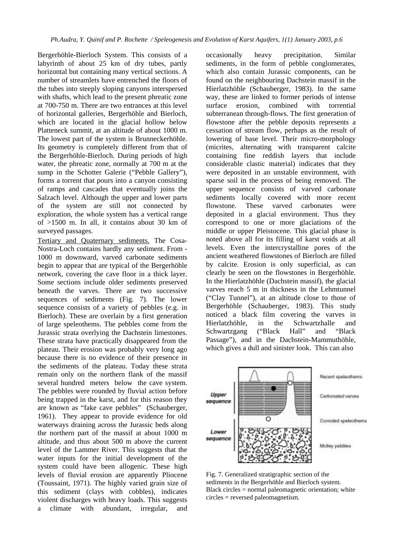Bergerhöhle-Bierloch System. This consists of a labyrinth of about 25 km of dry tubes, partly horizontal but containing many vertical sections. A number of streamlets have entrenched the floors of the tubes into steeply sloping canyons interspersed with shafts, which lead to the present phreatic zone at 700-750 m. There are two entrances at this level of horizontal galleries, Bergerhöhle and Bierloch, which are located in the glacial hollow below Platteneck summit, at an altitude of about 1000 m. The lowest part of the system is Brunneckerhöhle. Its geometry is completely different from that of the Bergerhöhle-Bierloch. During periods of high water, the phreatic zone, normally at 700 m at the sump in the Schotter Galerie ("Pebble Gallery"), forms a torrent that pours into a canyon consisting of ramps and cascades that eventually joins the Salzach level. Although the upper and lower parts of the system are still not connected by exploration, the whole system has a vertical range of >1500 m. In all, it contains about 30 km of surveyed passages.

Tertiary and Quaternary sediments. The Cosa-Nostra-Loch contains hardly any sediment. From - 1000 m downward, varved carbonate sediments begin to appear that are typical of the Bergerhöhle network, covering the cave floor in a thick layer. Some sections include older sediments preserved beneath the varves. There are two successive sequences of sediments (Fig. 7). The lower sequence consists of a variety of pebbles (e.g. in Bierloch). These are overlain by a first generation of large speleothems. The pebbles come from the Jurassic strata overlying the Dachstein limestones. These strata have practically disappeared from the plateau. Their erosion was probably very long ago because there is no evidence of their presence in the sediments of the plateau. Today these strata remain only on the northern flank of the massif several hundred meters below the cave system. The pebbles were rounded by fluvial action before being trapped in the karst, and for this reason they are known as "fake cave pebbles" (Schauberger, 1961). They appear to provide evidence for old waterways draining across the Jurassic beds along the northern part of the massif at about 1000 m altitude, and thus about 500 m above the current level of the Lammer River. This suggests that the water inputs for the initial development of the system could have been allogenic. These high levels of fluvial erosion are apparently Pliocene (Toussaint, 1971). The highly varied grain size of this sediment (clays with cobbles), indicates violent discharges with heavy loads. This suggests a climate with abundant, irregular, and

occasionally heavy precipitation. Similar sediments, in the form of pebble conglomerates, which also contain Jurassic components, can be found on the neighbouring Dachstein massif in the Hierlatzhöhle (Schauberger, 1983). In the same way, these are linked to former periods of intense surface erosion, combined with torrential subterranean through-flows. The first generation of flowstone after the pebble deposits represents a cessation of stream flow, perhaps as the result of lowering of base level. Their micro-morphology (micrites, alternating with transparent calcite containing fine reddish layers that include considerable clastic material) indicates that they were deposited in an unstable environment, with sparse soil in the process of being removed. The upper sequence consists of varved carbonate sediments locally covered with more recent flowstone. These varved carbonates were deposited in a glacial environment. Thus they correspond to one or more glaciations of the middle or upper Pleistocene. This glacial phase is noted above all for its filling of karst voids at all levels. Even the intercrystalline pores of the ancient weathered flowstones of Bierloch are filled by calcite. Erosion is only superficial, as can clearly be seen on the flowstones in Bergerhöhle. In the Hierlatzhöhle (Dachstein massif), the glacial varves reach 5 m in thickness in the Lehmtunnel ("Clay Tunnel"), at an altitude close to those of Bergerhöhle (Schauberger, 1983). This study noticed a black film covering the varves in Hierlatzhöhle, in the Schwartzhalle and Schwartzgang ("Black Hall" and "Black Passage"), and in the Dachstein-Mammuthöhle, which gives a dull and sinister look. This can also



Fig. 7. Generalized stratigraphic section of the sediments in the Bergerhöhle and Bierloch system. Black circles = normal paleomagnetic orientation; white circles = reversed paleomagnetism.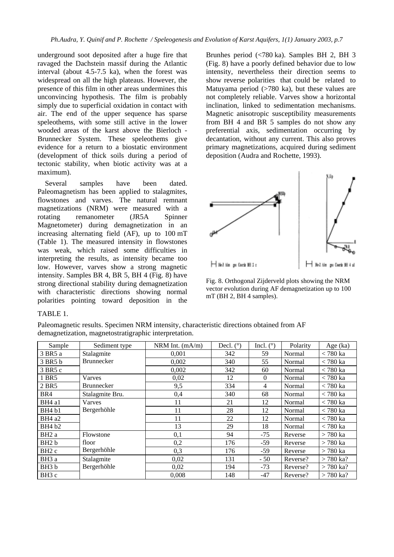underground soot deposited after a huge fire that ravaged the Dachstein massif during the Atlantic interval (about 4.5-7.5 ka), when the forest was widespread on all the high plateaus. However, the presence of this film in other areas undermines this unconvincing hypothesis. The film is probably simply due to superficial oxidation in contact with air. The end of the upper sequence has sparse speleothems, with some still active in the lower wooded areas of the karst above the Bierloch - Brunnecker System. These speleothems give evidence for a return to a biostatic environment (development of thick soils during a period of tectonic stability, when biotic activity was at a maximum).

Several samples have been dated. Paleomagnetism has been applied to stalagmites, flowstones and varves. The natural remnant magnetizations (NRM) were measured with a rotating remanometer (JR5A Spinner Magnetometer) during demagnetization in an increasing alternating field (AF), up to 100 mT (Table 1). The measured intensity in flowstones was weak, which raised some difficulties in interpreting the results, as intensity became too low. However, varves show a strong magnetic intensity. Samples BR 4, BR 5, BH 4 (Fig. 8) have strong directional stability during demagnetization with characteristic directions showing normal polarities pointing toward deposition in the

Brunhes period (<780 ka). Samples BH 2, BH 3 (Fig. 8) have a poorly defined behavior due to low intensity, nevertheless their direction seems to show reverse polarities that could be related to Matuyama period  $($ >780 ka), but these values are not completely reliable. Varves show a horizontal inclination, linked to sedimentation mechanisms. Magnetic anisotropic susceptibility measurements from BH 4 and BR 5 samples do not show any preferential axis, sedimentation occurring by decantation, without any current. This also proves primary magnetizations, acquired during sediment deposition (Audra and Rochette, 1993).



Fig. 8. Orthogonal Zijderveld plots showing the NRM vector evolution during AF demagnetization up to 100 mT (BH 2, BH 4 samples).

### TABLE 1.

Paleomagnetic results. Specimen NRM intensity, characteristic directions obtained from AF demagnetization, magnetostratigraphic interpretation.

| Sample            | Sediment type     | NRM Int. (mA/m) | Decl. $(°)$ | Incl. $(°)$ | Polarity | Age (ka)    |
|-------------------|-------------------|-----------------|-------------|-------------|----------|-------------|
| 3 BR5 a           | Stalagmite        | 0.001           | 342         | 59          | Normal   | $<$ 780 ka  |
| 3 BR5 b           | <b>Brunnecker</b> | 0,002           | 340         | 55          | Normal   | $<$ 780 ka  |
| 3 BR5 c           |                   | 0,002           | 342         | 60          | Normal   | $<$ 780 ka  |
| 1 BR5             | Varves            | 0,02            | 12          | $\Omega$    | Normal   | $<$ 780 ka  |
| 2 BR5             | <b>Brunnecker</b> | 9,5             | 334         | 4           | Normal   | $<$ 780 ka  |
| BR4               | Stalagmite Bru.   | 0,4             | 340         | 68          | Normal   | $<$ 780 ka  |
| BH4 a1            | Varves            | 11              | 21          | 12          | Normal   | $<$ 780 ka  |
| BH4 b1            | Bergerhöhle       | 11              | 28          | 12          | Normal   | $<$ 780 ka  |
| BH4 a2            |                   | 11              | 22          | 12          | Normal   | $<$ 780 ka  |
| <b>BH4</b> b2     |                   | 13              | 29          | 18          | Normal   | $<$ 780 ka  |
| BH <sub>2</sub> a | Flowstone         | 0,1             | 94          | $-75$       | Reverse  | $>780$ ka   |
| BH <sub>2</sub> b | floor             | 0,2             | 176         | $-59$       | Reverse  | $> 780$ ka  |
| BH <sub>2</sub> c | Bergerhöhle       | 0,3             | 176         | $-59$       | Reverse  | $> 780$ ka  |
| BH3 a             | Stalagmite        | 0,02            | 131         | $-50$       | Reverse? | $> 780$ ka? |
| BH <sub>3</sub> b | Bergerhöhle       | 0,02            | 194         | $-73$       | Reverse? | $> 780$ ka? |
| BH3 c             |                   | 0.008           | 148         | $-47$       | Reverse? | $> 780$ ka? |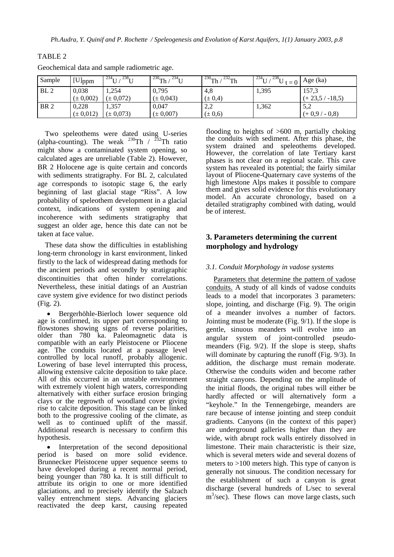| Sample          | $[U]_{ppm}$   | $238 -$<br>234 | $^{230}$ Th /<br>$234 -$ | $\frac{232}{h}$ Th<br>$^{230}$ Th / | 234<br>$238-$<br>$t=0$ | Age (ka)           |
|-----------------|---------------|----------------|--------------------------|-------------------------------------|------------------------|--------------------|
| BL <sub>2</sub> | 0,038         | ,254           | 0,795                    | 4,8                                 | 1,395                  | 157,3              |
|                 | $(\pm 0.002)$ | $(\pm 0.072)$  | $(\pm 0.043)$            | $(\pm 0.4)$                         |                        | $(+23.5 / -18.5)$  |
| BR <sub>2</sub> | 0,228         | 1,357          | 0,047                    | 2,2                                 | 1,362                  | 50<br>ے وب         |
|                 | $(\pm 0.012)$ | $(\pm 0.073)$  | $(\pm 0.007)$            | $(\pm 0.6)$                         |                        | $-0.8$<br>$(+0.9)$ |

Geochemical data and sample radiometric age.

TABLE 2

Two speleothems were dated using U-series (alpha-counting). The weak  $^{230}$ Th  $/$   $^{232}$ Th ratio might show a contaminated system opening, so calculated ages are unreliable (Table 2). However, BR 2 Holocene age is quite certain and concords with sediments stratigraphy. For BL 2, calculated age corresponds to isotopic stage 6, the early beginning of last glacial stage "Riss". A low probability of speleothem development in a glacial context, indications of system opening and incoherence with sediments stratigraphy that suggest an older age, hence this date can not be taken at face value.

These data show the difficulties in establishing long-term chronology in karst environment, linked firstly to the lack of widespread dating methods for the ancient periods and secondly by stratigraphic discontinuities that often hinder correlations. Nevertheless, these initial datings of an Austrian cave system give evidence for two distinct periods (Fig. 2).

• Bergerhöhle-Bierloch lower sequence old age is confirmed, its upper part corresponding to flowstones showing signs of reverse polarities, older than 780 ka. Paleomagnetic data is compatible with an early Pleistocene or Pliocene age. The conduits located at a passage level controlled by local runoff, probably allogenic. Lowering of base level interrupted this process, allowing extensive calcite deposition to take place. All of this occurred in an unstable environment with extremely violent high waters, corresponding alternatively with either surface erosion bringing clays or the regrowth of woodland cover giving rise to calcite deposition. This stage can be linked both to the progressive cooling of the climate, as well as to continued uplift of the massif. Additional research is necessary to confirm this hypothesis.

Interpretation of the second depositional period is based on more solid evidence. Brunnecker Pleistocene upper sequence seems to have developed during a recent normal period, being younger than 780 ka. It is still difficult to attribute its origin to one or more identified glaciations, and to precisely identify the Salzach valley entrenchment steps. Advancing glaciers reactivated the deep karst, causing repeated flooding to heights of  $>600$  m, partially choking the conduits with sediment. After this phase, the system drained and speleothems developed. However, the correlation of late Tertiary karst phases is not clear on a regional scale. This cave system has revealed its potential; the fairly similar layout of Pliocene-Quaternary cave systems of the high limestone Alps makes it possible to compare them and gives solid evidence for this evolutionary model. An accurate chronology, based on a detailed stratigraphy combined with dating, would be of interest.

# **3. Parameters determining the current morphology and hydrology**

### *3.1. Conduit Morphology in vadose systems*

Parameters that determine the pattern of vadose conduits. A study of all kinds of vadose conduits leads to a model that incorporates 3 parameters: slope, jointing, and discharge (Fig. 9). The origin of a meander involves a number of factors. Jointing must be moderate (Fig. 9/1). If the slope is gentle, sinuous meanders will evolve into an angular system of joint-controlled pseudomeanders (Fig. 9/2). If the slope is steep, shafts will dominate by capturing the runoff (Fig. 9/3). In addition, the discharge must remain moderate. Otherwise the conduits widen and become rather straight canyons. Depending on the amplitude of the initial floods, the original tubes will either be hardly affected or will alternatively form a "keyhole." In the Tennengebirge, meanders are rare because of intense jointing and steep conduit gradients. Canyons (in the context of this paper) are underground galleries higher than they are wide, with abrupt rock walls entirely dissolved in limestone. Their main characteristic is their size, which is several meters wide and several dozens of meters to >100 meters high. This type of canyon is generally not sinuous. The condition necessary for the establishment of such a canyon is great discharge (several hundreds of L/sec to several m<sup>3</sup>/sec). These flows can move large clasts, such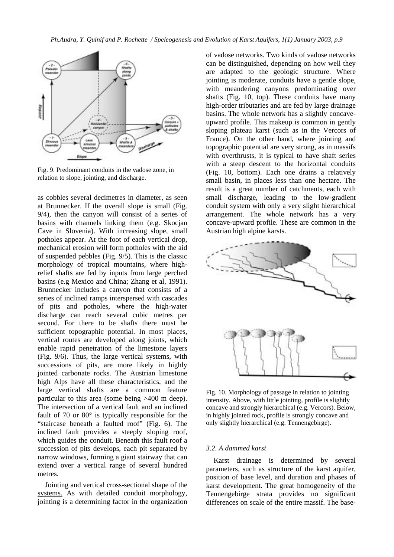

Fig. 9. Predominant conduits in the vadose zone, in relation to slope, jointing, and discharge.

as cobbles several decimetres in diameter, as seen at Brunnecker. If the overall slope is small (Fig. 9/4), then the canyon will consist of a series of basins with channels linking them (e.g. Skocjan Cave in Slovenia). With increasing slope, small potholes appear. At the foot of each vertical drop, mechanical erosion will form potholes with the aid of suspended pebbles (Fig. 9/5). This is the classic morphology of tropical mountains, where highrelief shafts are fed by inputs from large perched basins (e.g Mexico and China; Zhang et al, 1991). Brunnecker includes a canyon that consists of a series of inclined ramps interspersed with cascades of pits and potholes, where the high-water discharge can reach several cubic metres per second. For there to be shafts there must be sufficient topographic potential. In most places, vertical routes are developed along joints, which enable rapid penetration of the limestone layers (Fig. 9/6). Thus, the large vertical systems, with successions of pits, are more likely in highly jointed carbonate rocks. The Austrian limestone high Alps have all these characteristics, and the large vertical shafts are a common feature particular to this area (some being >400 m deep). The intersection of a vertical fault and an inclined fault of 70 or 80° is typically responsible for the "staircase beneath a faulted roof" (Fig. 6). The inclined fault provides a steeply sloping roof, which guides the conduit. Beneath this fault roof a succession of pits develops, each pit separated by narrow windows, forming a giant stairway that can extend over a vertical range of several hundred metres.

Jointing and vertical cross-sectional shape of the systems. As with detailed conduit morphology, jointing is a determining factor in the organization

of vadose networks. Two kinds of vadose networks can be distinguished, depending on how well they are adapted to the geologic structure. Where jointing is moderate, conduits have a gentle slope, with meandering canyons predominating over shafts (Fig. 10, top). These conduits have many high-order tributaries and are fed by large drainage basins. The whole network has a slightly concaveupward profile. This makeup is common in gently sloping plateau karst (such as in the Vercors of France). On the other hand, where jointing and topographic potential are very strong, as in massifs with overthrusts, it is typical to have shaft series with a steep descent to the horizontal conduits (Fig. 10, bottom). Each one drains a relatively small basin, in places less than one hectare. The result is a great number of catchments, each with small discharge, leading to the low-gradient conduit system with only a very slight hierarchical arrangement. The whole network has a very concave-upward profile. These are common in the Austrian high alpine karsts.



Fig. 10. Morphology of passage in relation to jointing intensity. Above, with little jointing, profile is slightly concave and strongly hierarchical (e.g. Vercors). Below, in highly jointed rock, profile is strongly concave and only slightly hierarchical (e.g. Tennengebirge).

#### *3.2. A dammed karst*

Karst drainage is determined by several parameters, such as structure of the karst aquifer, position of base level, and duration and phases of karst development. The great homogeneity of the Tennengebirge strata provides no significant differences on scale of the entire massif. The base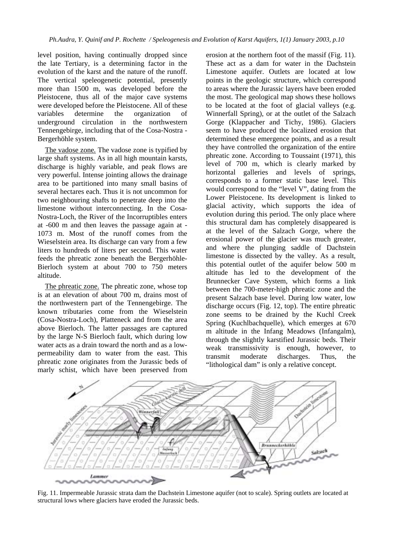level position, having continually dropped since the late Tertiary, is a determining factor in the evolution of the karst and the nature of the runoff. The vertical speleogenetic potential, presently more than 1500 m, was developed before the Pleistocene, thus all of the major cave systems were developed before the Pleistocene. All of these variables determine the organization of underground circulation in the northwestern Tennengebirge, including that of the Cosa-Nostra - Bergerhöhle system.

The vadose zone*.* The vadose zone is typified by large shaft systems. As in all high mountain karsts, discharge is highly variable, and peak flows are very powerful. Intense jointing allows the drainage area to be partitioned into many small basins of several hectares each. Thus it is not uncommon for two neighbouring shafts to penetrate deep into the limestone without interconnecting. In the Cosa-Nostra-Loch, the River of the Incorruptibles enters at -600 m and then leaves the passage again at - 1073 m. Most of the runoff comes from the Wieselstein area. Its discharge can vary from a few liters to hundreds of liters per second. This water feeds the phreatic zone beneath the Bergerhöhle-Bierloch system at about 700 to 750 meters altitude.

The phreatic zone. The phreatic zone, whose top is at an elevation of about 700 m, drains most of the northwestern part of the Tennengebirge. The known tributaries come from the Wieselstein (Cosa-Nostra-Loch), Platteneck and from the area above Bierloch. The latter passages are captured by the large N-S Bierloch fault, which during low water acts as a drain toward the north and as a lowpermeability dam to water from the east. This phreatic zone originates from the Jurassic beds of marly schist, which have been preserved from

erosion at the northern foot of the massif (Fig. 11). These act as a dam for water in the Dachstein Limestone aquifer. Outlets are located at low points in the geologic structure, which correspond to areas where the Jurassic layers have been eroded the most. The geological map shows these hollows to be located at the foot of glacial valleys (e.g. Winnerfall Spring), or at the outlet of the Salzach Gorge (Klappacher and Tichy, 1986). Glaciers seem to have produced the localized erosion that determined these emergence points, and as a result they have controlled the organization of the entire phreatic zone. According to Toussaint (1971), this level of 700 m, which is clearly marked by horizontal galleries and levels of springs, corresponds to a former static base level. This would correspond to the "level V", dating from the Lower Pleistocene. Its development is linked to glacial activity, which supports the idea of evolution during this period. The only place where this structural dam has completely disappeared is at the level of the Salzach Gorge, where the erosional power of the glacier was much greater, and where the plunging saddle of Dachstein limestone is dissected by the valley. As a result, this potential outlet of the aquifer below 500 m altitude has led to the development of the Brunnecker Cave System, which forms a link between the 700-meter-high phreatic zone and the present Salzach base level. During low water, low discharge occurs (Fig. 12, top). The entire phreatic zone seems to be drained by the Kuchl Creek Spring (Kuchlbachquelle), which emerges at 670 m altitude in the Infang Meadows (Infangalm), through the slightly karstified Jurassic beds. Their weak transmissivity is enough, however, to transmit moderate discharges. Thus, the "lithological dam" is only a relative concept.



Fig. 11. Impermeable Jurassic strata dam the Dachstein Limestone aquifer (not to scale). Spring outlets are located at structural lows where glaciers have eroded the Jurassic beds.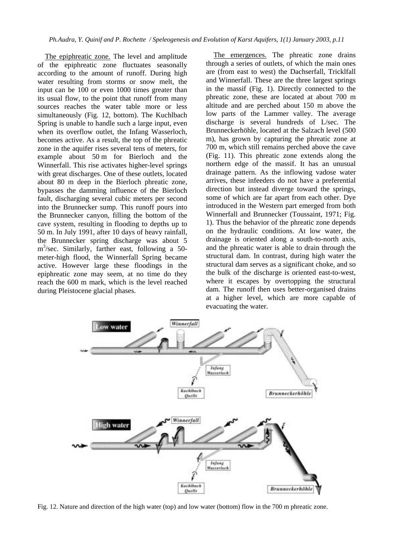The epiphreatic zone. The level and amplitude of the epiphreatic zone fluctuates seasonally according to the amount of runoff. During high water resulting from storms or snow melt, the input can be 100 or even 1000 times greater than its usual flow, to the point that runoff from many sources reaches the water table more or less simultaneously (Fig. 12, bottom). The Kuchlbach Spring is unable to handle such a large input, even when its overflow outlet, the Infang Wasserloch, becomes active. As a result, the top of the phreatic zone in the aquifer rises several tens of meters, for example about 50 m for Bierloch and the Winnerfall. This rise activates higher-level springs with great discharges. One of these outlets, located about 80 m deep in the Bierloch phreatic zone, bypasses the damming influence of the Bierloch fault, discharging several cubic meters per second into the Brunnecker sump. This runoff pours into the Brunnecker canyon, filling the bottom of the cave system, resulting in flooding to depths up to 50 m. In July 1991, after 10 days of heavy rainfall, the Brunnecker spring discharge was about 5 m3 /sec. Similarly, farther east, following a 50 meter-high flood, the Winnerfall Spring became active. However large these floodings in the epiphreatic zone may seem, at no time do they reach the 600 m mark, which is the level reached during Pleistocene glacial phases.

The emergences. The phreatic zone drains through a series of outlets, of which the main ones are (from east to west) the Dachserfall, Tricklfall and Winnerfall. These are the three largest springs in the massif (Fig. 1). Directly connected to the phreatic zone, these are located at about 700 m altitude and are perched about 150 m above the low parts of the Lammer valley. The average discharge is several hundreds of L/sec. The Brunneckerhöhle, located at the Salzach level (500 m), has grown by capturing the phreatic zone at 700 m, which still remains perched above the cave (Fig. 11). This phreatic zone extends along the northern edge of the massif. It has an unusual drainage pattern. As the inflowing vadose water arrives, these infeeders do not have a preferential direction but instead diverge toward the springs, some of which are far apart from each other. Dye introduced in the Western part emerged from both Winnerfall and Brunnecker (Toussaint, 1971; Fig. 1). Thus the behavior of the phreatic zone depends on the hydraulic conditions. At low water, the drainage is oriented along a south-to-north axis, and the phreatic water is able to drain through the structural dam. In contrast, during high water the structural dam serves as a significant choke, and so the bulk of the discharge is oriented east-to-west, where it escapes by overtopping the structural dam. The runoff then uses better-organised drains at a higher level, which are more capable of evacuating the water.



Fig. 12. Nature and direction of the high water (top) and low water (bottom) flow in the 700 m phreatic zone.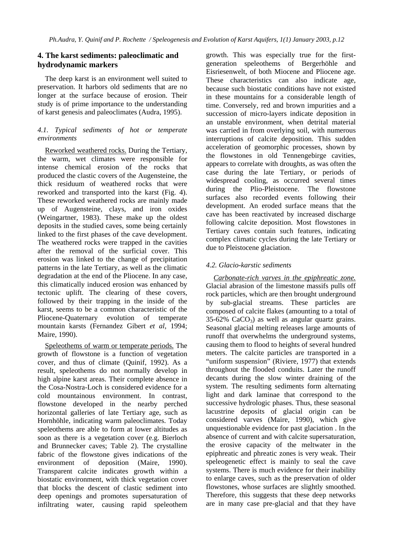# **4. The karst sediments: paleoclimatic and hydrodynamic markers**

The deep karst is an environment well suited to preservation. It harbors old sediments that are no longer at the surface because of erosion. Their study is of prime importance to the understanding of karst genesis and paleoclimates (Audra, 1995).

## *4.1. Typical sediments of hot or temperate environments*

Reworked weathered rocks. During the Tertiary, the warm, wet climates were responsible for intense chemical erosion of the rocks that produced the clastic covers of the Augensteine, the thick residuum of weathered rocks that were reworked and transported into the karst (Fig. 4). These reworked weathered rocks are mainly made up of Augensteine, clays, and iron oxides (Weingartner, 1983). These make up the oldest deposits in the studied caves, some being certainly linked to the first phases of the cave development. The weathered rocks were trapped in the cavities after the removal of the surficial cover. This erosion was linked to the change of precipitation patterns in the late Tertiary, as well as the climatic degradation at the end of the Pliocene. In any case, this climatically induced erosion was enhanced by tectonic uplift. The clearing of these covers, followed by their trapping in the inside of the karst, seems to be a common characteristic of the Pliocene-Quaternary evolution of temperate mountain karsts (Fernandez Gibert *et al*, 1994; Maire, 1990).

Speleothems of warm or temperate periods. The growth of flowstone is a function of vegetation cover, and thus of climate (Quinif, 1992). As a result, speleothems do not normally develop in high alpine karst areas. Their complete absence in the Cosa-Nostra-Loch is considered evidence for a cold mountainous environment. In contrast, flowstone developed in the nearby perched horizontal galleries of late Tertiary age, such as Hornhöhle, indicating warm paleoclimates. Today speleothems are able to form at lower altitudes as soon as there is a vegetation cover (e.g. Bierloch and Brunnecker caves; Table 2). The crystalline fabric of the flowstone gives indications of the environment of deposition (Maire, 1990). Transparent calcite indicates growth within a biostatic environment, with thick vegetation cover that blocks the descent of clastic sediment into deep openings and promotes supersaturation of infiltrating water, causing rapid speleothem growth. This was especially true for the firstgeneration speleothems of Bergerhöhle and Eisriesenwelt, of both Miocene and Pliocene age. These characteristics can also indicate age, because such biostatic conditions have not existed in these mountains for a considerable length of time. Conversely, red and brown impurities and a succession of micro-layers indicate deposition in an unstable environment, when detrital material was carried in from overlying soil, with numerous interruptions of calcite deposition. This sudden acceleration of geomorphic processes, shown by the flowstones in old Tennengebirge cavities, appears to correlate with droughts, as was often the case during the late Tertiary, or periods of widespread cooling, as occurred several times during the Plio-Pleistocene. The flowstone surfaces also recorded events following their development. An eroded surface means that the cave has been reactivated by increased discharge following calcite deposition. Most flowstones in Tertiary caves contain such features, indicating complex climatic cycles during the late Tertiary or due to Pleistocene glaciation.

# *4.2. Glacio-karstic sediments*

*Carbonate-rich varves in the epiphreatic zone.* Glacial abrasion of the limestone massifs pulls off rock particles, which are then brought underground by sub-glacial streams. These particles are composed of calcite flakes (amounting to a total of  $35-62\%$  CaCO<sub>3</sub>) as well as angular quartz grains. Seasonal glacial melting releases large amounts of runoff that overwhelms the underground systems, causing them to flood to heights of several hundred meters. The calcite particles are transported in a "uniform suspension" (Riviere, 1977) that extends throughout the flooded conduits. Later the runoff decants during the slow winter draining of the system. The resulting sediments form alternating light and dark laminae that correspond to the successive hydrologic phases. Thus, these seasonal lacustrine deposits of glacial origin can be considered varves (Maire, 1990), which give unquestionable evidence for past glaciation . In the absence of current and with calcite supersaturation, the erosive capacity of the meltwater in the epiphreatic and phreatic zones is very weak. Their speleogenetic effect is mainly to seal the cave systems. There is much evidence for their inability to enlarge caves, such as the preservation of older flowstones, whose surfaces are slightly smoothed. Therefore, this suggests that these deep networks are in many case pre-glacial and that they have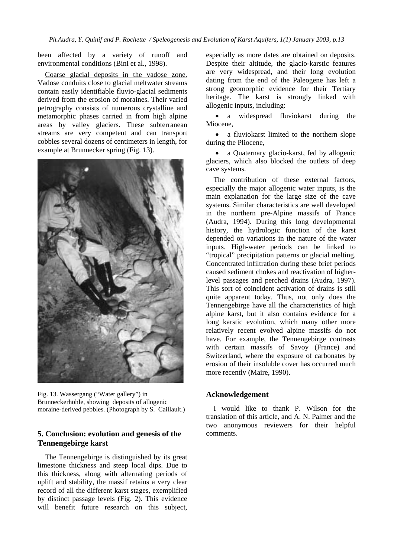been affected by a variety of runoff and environmental conditions (Bini et al., 1998).

Coarse glacial deposits in the vadose zone. Vadose conduits close to glacial meltwater streams contain easily identifiable fluvio-glacial sediments derived from the erosion of moraines. Their varied petrography consists of numerous crystalline and metamorphic phases carried in from high alpine areas by valley glaciers. These subterranean streams are very competent and can transport cobbles several dozens of centimeters in length, for example at Brunnecker spring (Fig. 13).



Fig. 13. Wassergang ("Water gallery") in Brunneckerhöhle, showing deposits of allogenic moraine-derived pebbles. (Photograph by S. Caillault.)

# **5. Conclusion: evolution and genesis of the Tennengebirge karst**

The Tennengebirge is distinguished by its great limestone thickness and steep local dips. Due to this thickness, along with alternating periods of uplift and stability, the massif retains a very clear record of all the different karst stages, exemplified by distinct passage levels (Fig. 2). This evidence will benefit future research on this subject,

especially as more dates are obtained on deposits. Despite their altitude, the glacio-karstic features are very widespread, and their long evolution dating from the end of the Paleogene has left a strong geomorphic evidence for their Tertiary heritage. The karst is strongly linked with allogenic inputs, including:

• a widespread fluviokarst during the Miocene,

• a fluviokarst limited to the northern slope during the Pliocene,

• a Quaternary glacio-karst, fed by allogenic glaciers, which also blocked the outlets of deep cave systems.

The contribution of these external factors, especially the major allogenic water inputs, is the main explanation for the large size of the cave systems. Similar characteristics are well developed in the northern pre-Alpine massifs of France (Audra, 1994). During this long developmental history, the hydrologic function of the karst depended on variations in the nature of the water inputs. High-water periods can be linked to "tropical" precipitation patterns or glacial melting. Concentrated infiltration during these brief periods caused sediment chokes and reactivation of higherlevel passages and perched drains (Audra, 1997). This sort of coincident activation of drains is still quite apparent today. Thus, not only does the Tennengebirge have all the characteristics of high alpine karst, but it also contains evidence for a long karstic evolution, which many other more relatively recent evolved alpine massifs do not have. For example, the Tennengebirge contrasts with certain massifs of Savoy (France) and Switzerland, where the exposure of carbonates by erosion of their insoluble cover has occurred much more recently (Maire, 1990).

### **Acknowledgement**

I would like to thank P. Wilson for the translation of this article, and A. N. Palmer and the two anonymous reviewers for their helpful comments.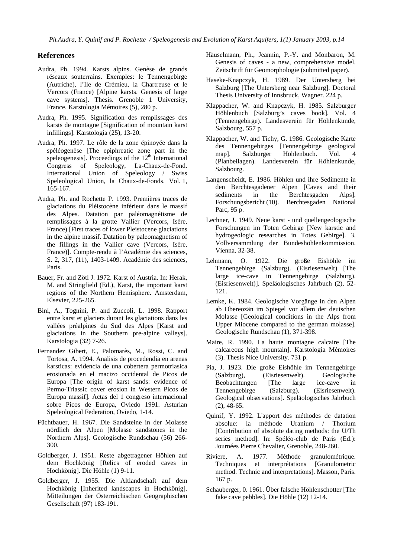#### **References**

- Audra, Ph. 1994. Karsts alpins. Genèse de grands réseaux souterrains. Exemples: le Tennengebirge (Autriche), l'Ile de Crémieu, la Chartreuse et le Vercors (France) [Alpine karsts. Genesis of large cave systems]. Thesis. Grenoble 1 University, France. Karstologia Mémoires (5), 280 p.
- Audra, Ph. 1995. Signification des remplissages des karsts de montagne [Signification of mountain karst infillings]. Karstologia (25), 13-20.
- Audra, Ph. 1997. Le rôle de la zone épinoyée dans la spéléogenèse [The epiphreatic zone part in the speleogenesis]. Proceedings of the  $12<sup>th</sup>$  International Congress of Speleology, La-Chaux-de-Fond. International Union of Speleology / Swiss Speleological Union, la Chaux-de-Fonds. Vol. 1, 165-167.
- Audra, Ph. and Rochette P. 1993. Premières traces de glaciations du Pléistocène inférieur dans le massif des Alpes. Datation par paléomagnétisme de remplissages à la grotte Vallier (Vercors, Isère, France) [First traces of lower Pleistocene glaciations in the alpine massif. Datation by paleomagnetism of the fillings in the Vallier cave (Vercors, Isère, France)]. Compte-rendu à l'Académie des sciences, S. 2, 317, (11), 1403-1409. Académie des sciences, Paris.
- Bauer, Fr. and Zötl J. 1972. Karst of Austria. In: Herak, M. and Stringfield (Ed.), Karst, the important karst regions of the Northern Hemisphere. Amsterdam, Elsevier, 225-265.
- Bini, A., Tognini, P. and Zuccoli, L. 1998. Rapport entre karst et glaciers durant les glaciations dans les vallées préalpines du Sud des Alpes [Karst and glaciations in the Southern pre-alpine valleys]. Karstologia (32) 7-26.
- Fernandez Gibert, E., Palomarès, M., Rossi, C. and Tortosa, A. 1994. Analisis de procedendia en arenas karsticas: evidencia de una cobertera permotriasica erosionada en el macizo occidental de Picos de Europa [The origin of karst sands: evidence of Permo-Triassic cover erosion in Western Picos de Europa massif]. Actas del 1 congreso internacional sobre Picos de Europa, Oviedo 1991. Asturian Speleological Federation, Oviedo, 1-14.
- Füchtbauer, H. 1967. Die Sandsteine in der Molasse nördlich der Alpen [Molasse sandstones in the Northern Alps]. Geologische Rundschau (56) 266- 300.
- Goldberger, J. 1951. Reste abgetragener Höhlen auf dem Hochkönig [Relics of eroded caves in Hochkönig]. Die Höhle (1) 9-11.
- Goldberger, J. 1955. Die Altlandschaft auf dem Hochkönig [Inherited landscapes in Hochkönig]. Mitteilungen der Österreichischen Geographischen Gesellschaft (97) 183-191.
- Häuselmann, Ph., Jeannin, P.-Y. and Monbaron, M. Genesis of caves - a new, comprehensive model. Zeitschrift für Geomorphologie (submitted paper).
- Haseke-Knapczyk, H. 1989. Der Untersberg bei Salzburg [The Untersberg near Salzburg]. Doctoral Thesis University of Innsbruck, Wagner. 224 p.
- Klappacher, W. and Knapczyk, H. 1985. Salzburger Höhlenbuch [Salzburg's caves book]. Vol. 4 (Tennengebirge). Landesverein für Höhlenkunde, Salzbourg, 557 p.
- Klappacher, W. and Tichy, G. 1986. Geologische Karte des Tennengebirges [Tennengebirge geological map]. Salzburger Höhlenbuch. Vol. 4 (Planbeilagen). Landesverein für Höhlenkunde, Salzbourg.
- Langenscheidt, E. 1986. Höhlen und ihre Sedimente in den Berchtesgadener Alpen [Caves and their sediments in the Berchtesgaden Alps]. Forschungsbericht (10). Berchtesgaden National Parc, 95 p.
- Lechner, J. 1949. Neue karst und quellengeologische Forschungen im Toten Gebirge [New karstic and hydrogeologic researches in Totes Gebirge]. 3. Vollversammlung der Bundeshöhlenkommission. Vienna, 32-38.
- Lehmann, O. 1922. Die große Eishöhle im Tennengebirge (Salzburg). (Eisriesenwelt) [The large ice-cave in Tennengebirge (Salzburg). (Eisriesenwelt)]. Speläologisches Jahrbuch (2), 52- 121.
- Lemke, K. 1984. Geologische Vorgänge in den Alpen ab Obereozän im Spiegel vor allem der deutschen Molasse [Geological conditions in the Alps from Upper Miocene compared to the german molasse]. Geologische Rundschau (1), 371-398.
- Maire, R. 1990. La haute montagne calcaire [The calcareous high mountain]. Karstologia Mémoires (3). Thesis Nice University. 731 p.
- Pia, J. 1923. Die große Eishöhle im Tennengebirge (Salzburg), (Eisriesenwelt). Geologische Beobachtungen [The large ice-cave in Tennengebirge (Salzburg). (Eisriesenwelt). Geological observations]. Speläologisches Jahrbuch (2), 48-65.
- Quinif, Y. 1992. L'apport des méthodes de datation absolue: la méthode Uranium / Thorium [Contribution of absolute dating methods: the U/Th series method]. In: Spéléo-club de Paris (Ed.): Journées Pierre Chevalier, Grenoble, 248-260.
- Riviere, A. 1977. Méthode granulométrique. Techniques et interprétations [Granulometric method. Technic and interpretations]. Masson, Paris. 167 p.
- Schauberger, 0. 1961. Über falsche Höhlenschotter [The fake cave pebbles]. Die Höhle (12) 12-14.